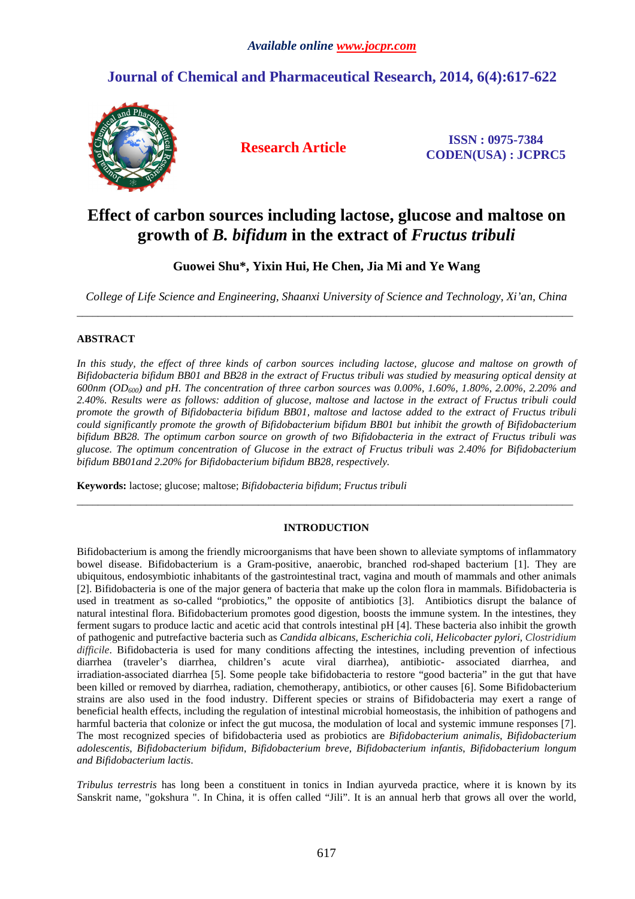## **Journal of Chemical and Pharmaceutical Research, 2014, 6(4):617-622**



**Research Article ISSN : 0975-7384 CODEN(USA) : JCPRC5**

# **Effect of carbon sources including lactose, glucose and maltose on growth of** *B. bifidum* **in the extract of** *Fructus tribuli*

## **Guowei Shu\*, Yixin Hui, He Chen, Jia Mi and Ye Wang**

*College of Life Science and Engineering, Shaanxi University of Science and Technology, Xi'an, China*  \_\_\_\_\_\_\_\_\_\_\_\_\_\_\_\_\_\_\_\_\_\_\_\_\_\_\_\_\_\_\_\_\_\_\_\_\_\_\_\_\_\_\_\_\_\_\_\_\_\_\_\_\_\_\_\_\_\_\_\_\_\_\_\_\_\_\_\_\_\_\_\_\_\_\_\_\_\_\_\_\_\_\_\_\_\_\_\_\_\_\_\_\_

### **ABSTRACT**

*In this study, the effect of three kinds of carbon sources including lactose, glucose and maltose on growth of Bifidobacteria bifidum BB01 and BB28 in the extract of Fructus tribuli was studied by measuring optical density at 600nm (OD600) and pH. The concentration of three carbon sources was 0.00%, 1.60%, 1.80%, 2.00%, 2.20% and 2.40%. Results were as follows: addition of glucose, maltose and lactose in the extract of Fructus tribuli could promote the growth of Bifidobacteria bifidum BB01, maltose and lactose added to the extract of Fructus tribuli could significantly promote the growth of Bifidobacterium bifidum BB01 but inhibit the growth of Bifidobacterium bifidum BB28. The optimum carbon source on growth of two Bifidobacteria in the extract of Fructus tribuli was glucose. The optimum concentration of Glucose in the extract of Fructus tribuli was 2.40% for Bifidobacterium bifidum BB01and 2.20% for Bifidobacterium bifidum BB28, respectively.* 

**Keywords:** lactose; glucose; maltose; *Bifidobacteria bifidum*; *Fructus tribuli* 

### **INTRODUCTION**

\_\_\_\_\_\_\_\_\_\_\_\_\_\_\_\_\_\_\_\_\_\_\_\_\_\_\_\_\_\_\_\_\_\_\_\_\_\_\_\_\_\_\_\_\_\_\_\_\_\_\_\_\_\_\_\_\_\_\_\_\_\_\_\_\_\_\_\_\_\_\_\_\_\_\_\_\_\_\_\_\_\_\_\_\_\_\_\_\_\_\_\_\_

Bifidobacterium is among the friendly microorganisms that have been shown to alleviate symptoms of inflammatory bowel disease. Bifidobacterium is a Gram-positive, anaerobic, branched rod-shaped bacterium [1]. They are ubiquitous, endosymbiotic inhabitants of the gastrointestinal tract, vagina and mouth of mammals and other animals [2]. Bifidobacteria is one of the major genera of bacteria that make up the colon flora in mammals. Bifidobacteria is used in treatment as so-called "probiotics," the opposite of antibiotics [3]. Antibiotics disrupt the balance of natural intestinal flora. Bifidobacterium promotes good digestion, boosts the immune system. In the intestines, they ferment sugars to produce lactic and acetic acid that controls intestinal pH [4]. These bacteria also inhibit the growth of pathogenic and putrefactive bacteria such as *Candida albicans*, *Escherichia coli*, *Helicobacter pylori, Clostridium difficile*. Bifidobacteria is used for many conditions affecting the intestines, including prevention of infectious diarrhea (traveler's diarrhea, children's acute viral diarrhea), antibiotic- associated diarrhea, and irradiation-associated diarrhea [5]. Some people take bifidobacteria to restore "good bacteria" in the gut that have been killed or removed by diarrhea, radiation, chemotherapy, antibiotics, or other causes [6]. Some Bifidobacterium strains are also used in the food industry. Different species or strains of Bifidobacteria may exert a range of beneficial health effects, including the regulation of intestinal microbial homeostasis, the inhibition of pathogens and harmful bacteria that colonize or infect the gut mucosa, the modulation of local and systemic immune responses [7]. The most recognized species of bifidobacteria used as probiotics are *Bifidobacterium animalis*, *Bifidobacterium adolescentis*, *Bifidobacterium bifidum*, *Bifidobacterium breve*, *Bifidobacterium infantis*, *Bifidobacterium longum and Bifidobacterium lactis*.

*Tribulus terrestris* has long been a constituent in tonics in Indian ayurveda practice, where it is known by its Sanskrit name, "gokshura ". In China, it is offen called "Jili". It is an annual herb that grows all over the world,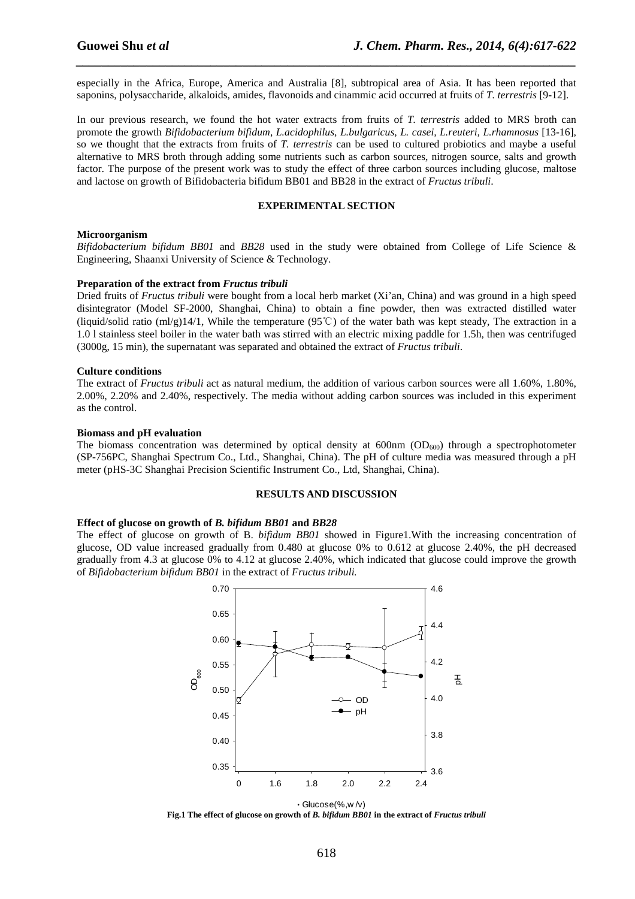especially in the Africa, Europe, America and Australia [8], subtropical area of Asia. It has been reported that saponins, polysaccharide, alkaloids, amides, flavonoids and cinammic acid occurred at fruits of *T. terrestris* [9-12].

*\_\_\_\_\_\_\_\_\_\_\_\_\_\_\_\_\_\_\_\_\_\_\_\_\_\_\_\_\_\_\_\_\_\_\_\_\_\_\_\_\_\_\_\_\_\_\_\_\_\_\_\_\_\_\_\_\_\_\_\_\_\_\_\_\_\_\_\_\_\_\_\_\_\_\_\_\_\_*

In our previous research, we found the hot water extracts from fruits of *T. terrestris* added to MRS broth can promote the growth *Bifidobacterium bifidum*, *L.acidophilus, L.bulgaricus, L. casei, L.reuteri, L.rhamnosus* [13-16], so we thought that the extracts from fruits of *T. terrestris* can be used to cultured probiotics and maybe a useful alternative to MRS broth through adding some nutrients such as carbon sources, nitrogen source, salts and growth factor. The purpose of the present work was to study the effect of three carbon sources including glucose, maltose and lactose on growth of Bifidobacteria bifidum BB01 and BB28 in the extract of *Fructus tribuli*.

#### **EXPERIMENTAL SECTION**

#### **Microorganism**

*Bifidobacterium bifidum BB01* and *BB28* used in the study were obtained from College of Life Science & Engineering, Shaanxi University of Science & Technology.

#### **Preparation of the extract from** *Fructus tribuli*

Dried fruits of *Fructus tribuli* were bought from a local herb market (Xi'an, China) and was ground in a high speed disintegrator (Model SF-2000, Shanghai, China) to obtain a fine powder, then was extracted distilled water (liquid/solid ratio (ml/g)14/1, While the temperature (95℃) of the water bath was kept steady, The extraction in a 1.0 l stainless steel boiler in the water bath was stirred with an electric mixing paddle for 1.5h, then was centrifuged (3000g, 15 min), the supernatant was separated and obtained the extract of *Fructus tribuli*.

#### **Culture conditions**

The extract of *Fructus tribuli* act as natural medium, the addition of various carbon sources were all 1.60%, 1.80%, 2.00%, 2.20% and 2.40%, respectively. The media without adding carbon sources was included in this experiment as the control.

#### **Biomass and pH evaluation**

The biomass concentration was determined by optical density at  $600 \text{nm}$  (OD<sub>600</sub>) through a spectrophotometer (SP-756PC, Shanghai Spectrum Co., Ltd., Shanghai, China). The pH of culture media was measured through a pH meter (pHS-3C Shanghai Precision Scientific Instrument Co., Ltd, Shanghai, China).

#### **RESULTS AND DISCUSSION**

#### **Effect of glucose on growth of** *B. bifidum BB01* **and** *BB28*

The effect of glucose on growth of B. *bifidum BB01* showed in Figure1.With the increasing concentration of glucose, OD value increased gradually from 0.480 at glucose 0% to 0.612 at glucose 2.40%, the pH decreased gradually from 4.3 at glucose 0% to 4.12 at glucose 2.40%, which indicated that glucose could improve the growth of *Bifidobacterium bifidum BB01* in the extract of *Fructus tribuli.* 



Glucose(%,w /v) **Fig.1 The effect of glucose on growth of** *B. bifidum BB01* **in the extract of** *Fructus tribuli*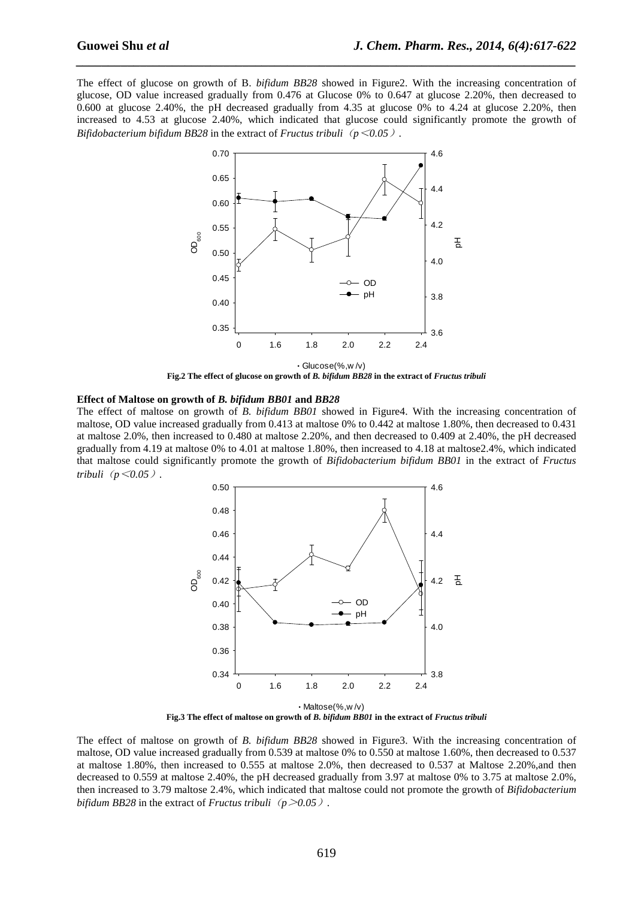The effect of glucose on growth of B. *bifidum BB28* showed in Figure2. With the increasing concentration of glucose, OD value increased gradually from 0.476 at Glucose 0% to 0.647 at glucose 2.20%, then decreased to 0.600 at glucose 2.40%, the pH decreased gradually from 4.35 at glucose 0% to 4.24 at glucose 2.20%, then increased to 4.53 at glucose 2.40%, which indicated that glucose could significantly promote the growth of *Bifidobacterium bifidum BB28* in the extract of *Fructus tribuli* ( $p$ <0.05).

*\_\_\_\_\_\_\_\_\_\_\_\_\_\_\_\_\_\_\_\_\_\_\_\_\_\_\_\_\_\_\_\_\_\_\_\_\_\_\_\_\_\_\_\_\_\_\_\_\_\_\_\_\_\_\_\_\_\_\_\_\_\_\_\_\_\_\_\_\_\_\_\_\_\_\_\_\_\_*



**Fig.2 The effect of glucose on growth of** *B. bifidum BB28* **in the extract of** *Fructus tribuli* 

#### **Effect of Maltose on growth of** *B. bifidum BB01* **and** *BB28*

The effect of maltose on growth of *B. bifidum BB01* showed in Figure4. With the increasing concentration of maltose, OD value increased gradually from 0.413 at maltose 0% to 0.442 at maltose 1.80%, then decreased to 0.431 at maltose 2.0%, then increased to 0.480 at maltose 2.20%, and then decreased to 0.409 at 2.40%, the pH decreased gradually from 4.19 at maltose 0% to 4.01 at maltose 1.80%, then increased to 4.18 at maltose2.4%, which indicated that maltose could significantly promote the growth of *Bifidobacterium bifidum BB01* in the extract of *Fructus tribuli*(*p*<*0.05*)*.* 



**Fig.3 The effect of maltose on growth of** *B. bifidum BB01* **in the extract of** *Fructus tribuli* 

The effect of maltose on growth of *B. bifidum BB28* showed in Figure3. With the increasing concentration of maltose, OD value increased gradually from 0.539 at maltose 0% to 0.550 at maltose 1.60%, then decreased to 0.537 at maltose 1.80%, then increased to 0.555 at maltose 2.0%, then decreased to 0.537 at Maltose 2.20%,and then decreased to 0.559 at maltose 2.40%, the pH decreased gradually from 3.97 at maltose 0% to 3.75 at maltose 2.0%, then increased to 3.79 maltose 2.4%, which indicated that maltose could not promote the growth of *Bifidobacterium bifidum BB28* in the extract of *Fructus tribuli* ( $p > 0.05$ ).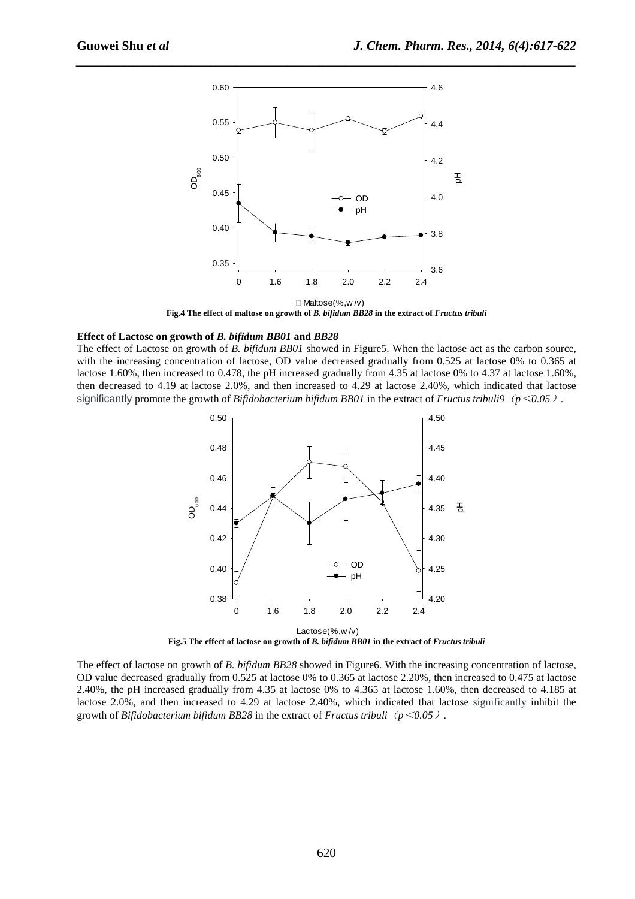

*\_\_\_\_\_\_\_\_\_\_\_\_\_\_\_\_\_\_\_\_\_\_\_\_\_\_\_\_\_\_\_\_\_\_\_\_\_\_\_\_\_\_\_\_\_\_\_\_\_\_\_\_\_\_\_\_\_\_\_\_\_\_\_\_\_\_\_\_\_\_\_\_\_\_\_\_\_\_*

**Fig.4 The effect of maltose on growth of** *B. bifidum BB28* **in the extract of** *Fructus tribuli* 

#### **Effect of Lactose on growth of** *B. bifidum BB01* **and** *BB28*

The effect of Lactose on growth of *B. bifidum BB01* showed in Figure5. When the lactose act as the carbon source, with the increasing concentration of lactose, OD value decreased gradually from 0.525 at lactose 0% to 0.365 at lactose 1.60%, then increased to 0.478, the pH increased gradually from 4.35 at lactose 0% to 4.37 at lactose 1.60%, then decreased to 4.19 at lactose 2.0%, and then increased to 4.29 at lactose 2.40%, which indicated that lactose significantly promote the growth of *Bifidobacterium bifidum BB01* in the extract of *Fructus tribuli9*(*p*<*0.05*)*.* 



**Fig.5 The effect of lactose on growth of** *B. bifidum BB01* **in the extract of** *Fructus tribuli*

The effect of lactose on growth of *B. bifidum BB28* showed in Figure6. With the increasing concentration of lactose, OD value decreased gradually from 0.525 at lactose 0% to 0.365 at lactose 2.20%, then increased to 0.475 at lactose 2.40%, the pH increased gradually from 4.35 at lactose 0% to 4.365 at lactose 1.60%, then decreased to 4.185 at lactose 2.0%, and then increased to 4.29 at lactose 2.40%, which indicated that lactose significantly inhibit the growth of *Bifidobacterium bifidum BB28* in the extract of *Fructus tribuli*(*p*<*0.05*).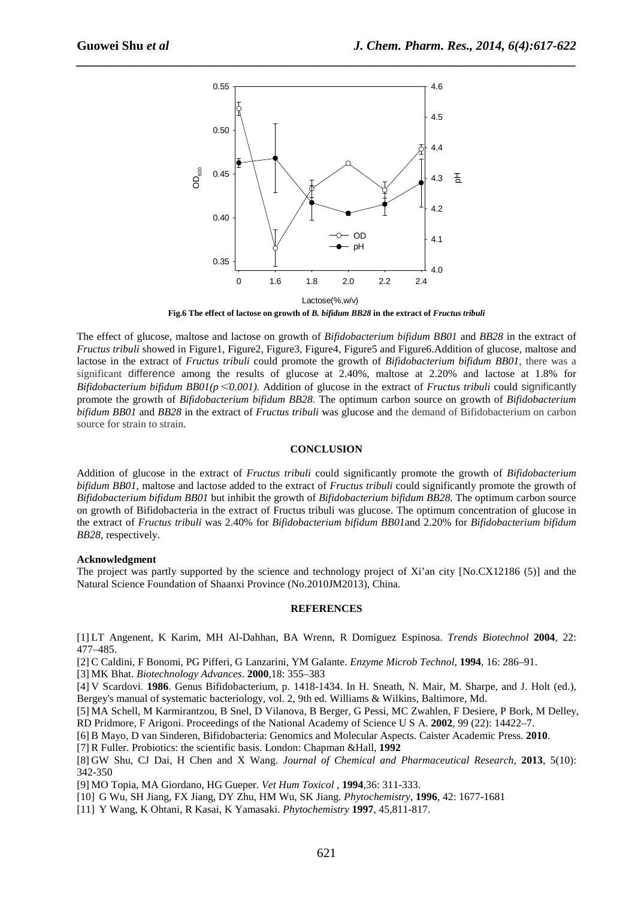

*\_\_\_\_\_\_\_\_\_\_\_\_\_\_\_\_\_\_\_\_\_\_\_\_\_\_\_\_\_\_\_\_\_\_\_\_\_\_\_\_\_\_\_\_\_\_\_\_\_\_\_\_\_\_\_\_\_\_\_\_\_\_\_\_\_\_\_\_\_\_\_\_\_\_\_\_\_\_*

**Fig.6 The effect of lactose on growth of** *B. bifidum BB28* **in the extract of** *Fructus tribuli*

The effect of glucose, maltose and lactose on growth of *Bifidobacterium bifidum BB01* and *BB28* in the extract of *Fructus tribuli* showed in Figure1, Figure2, Figure3, Figure4, Figure5 and Figure6.Addition of glucose, maltose and lactose in the extract of *Fructus tribuli* could promote the growth of *Bifidobacterium bifidum BB01*, there was a significant difference among the results of glucose at 2.40%, maltose at 2.20% and lactose at 1.8% for *Bifidobacterium bifidum BB01(p*<*0.001).* Addition of glucose in the extract of *Fructus tribuli* could significantly promote the growth of *Bifidobacterium bifidum BB28.* The optimum carbon source on growth of *Bifidobacterium bifidum BB01* and *BB28* in the extract of *Fructus tribuli* was glucose and the demand of Bifidobacterium on carbon source for strain to strain.

#### **CONCLUSION**

Addition of glucose in the extract of *Fructus tribuli* could significantly promote the growth of *Bifidobacterium bifidum BB01*, maltose and lactose added to the extract of *Fructus tribuli* could significantly promote the growth of *Bifidobacterium bifidum BB01* but inhibit the growth of *Bifidobacterium bifidum BB28.* The optimum carbon source on growth of Bifidobacteria in the extract of Fructus tribuli was glucose. The optimum concentration of glucose in the extract of *Fructus tribuli* was 2.40% for *Bifidobacterium bifidum BB01*and 2.20% for *Bifidobacterium bifidum BB28,* respectively.

#### **Acknowledgment**

The project was partly supported by the science and technology project of Xi'an city [No.CX12186 (5)] and the Natural Science Foundation of Shaanxi Province (No.2010JM2013), China.

#### **REFERENCES**

[1] LT Angenent, K Karim, MH Al-Dahhan, BA Wrenn, R Domiguez Espinosa. *Trends Biotechnol* **2004**, 22: 477–485.

[2] C Caldini, F Bonomi, PG Pifferi, G Lanzarini, YM Galante. *Enzyme Microb Technol*, **1994**, 16: 286–91.

[3] MK Bhat. *Biotechnology Advances*. **2000**,18: 355–383

[4] V Scardovi. **1986**. Genus Bifidobacterium, p. 1418-1434. In H. Sneath, N. Mair, M. Sharpe, and J. Holt (ed.), Bergey's manual of systematic bacteriology, vol. 2, 9th ed. Williams & Wilkins, Baltimore, Md.

[5] MA Schell, M Karmirantzou, B Snel, D Vilanova, B Berger, G Pessi, MC Zwahlen, F Desiere, P Bork, M Delley, RD Pridmore, F Arigoni. Proceedings of the National Academy of Science U S A. **2002**, 99 (22): 14422–7.

[6] B Mayo, D van Sinderen, Bifidobacteria: Genomics and Molecular Aspects. Caister Academic Press. **2010**.

[7] R Fuller. Probiotics: the scientific basis. London: Chapman &Hall, **1992**

[8] GW Shu, CJ Dai, H Chen and X Wang. *Journal of Chemical and Pharmaceutical Research*, **2013**, 5(10): 342-350

[9] MO Topia, MA Giordano, HG Gueper. *Vet Hum Toxicol* , **1994**,36: 311-333.

- [10] G Wu, SH Jiang, FX Jiang, DY Zhu, HM Wu, SK Jiang. *Phytochemistry*, **1996**, 42: 1677-1681
- [11] Y Wang, K Ohtani, R Kasai, K Yamasaki. *Phytochemistry* **1997**, 45,811-817.